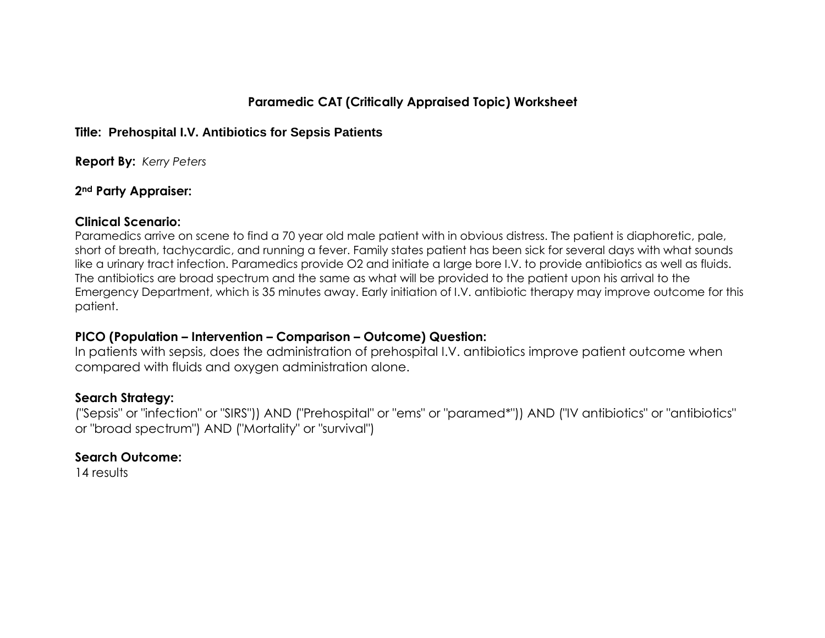## **Paramedic CAT (Critically Appraised Topic) Worksheet**

#### **Title: Prehospital I.V. Antibiotics for Sepsis Patients**

**Report By:** *Kerry Peters*

### **2nd Party Appraiser:**

### **Clinical Scenario:**

Paramedics arrive on scene to find a 70 year old male patient with in obvious distress. The patient is diaphoretic, pale, short of breath, tachycardic, and running a fever. Family states patient has been sick for several days with what sounds like a urinary tract infection. Paramedics provide O2 and initiate a large bore I.V. to provide antibiotics as well as fluids. The antibiotics are broad spectrum and the same as what will be provided to the patient upon his arrival to the Emergency Department, which is 35 minutes away. Early initiation of I.V. antibiotic therapy may improve outcome for this patient.

## **PICO (Population – Intervention – Comparison – Outcome) Question:**

In patients with sepsis, does the administration of prehospital I.V. antibiotics improve patient outcome when compared with fluids and oxygen administration alone.

## **Search Strategy:**

("Sepsis" or "infection" or "SIRS")) AND ("Prehospital" or "ems" or "paramed\*")) AND ("IV antibiotics" or "antibiotics" or "broad spectrum") AND ("Mortality" or "survival")

## **Search Outcome:**

14 results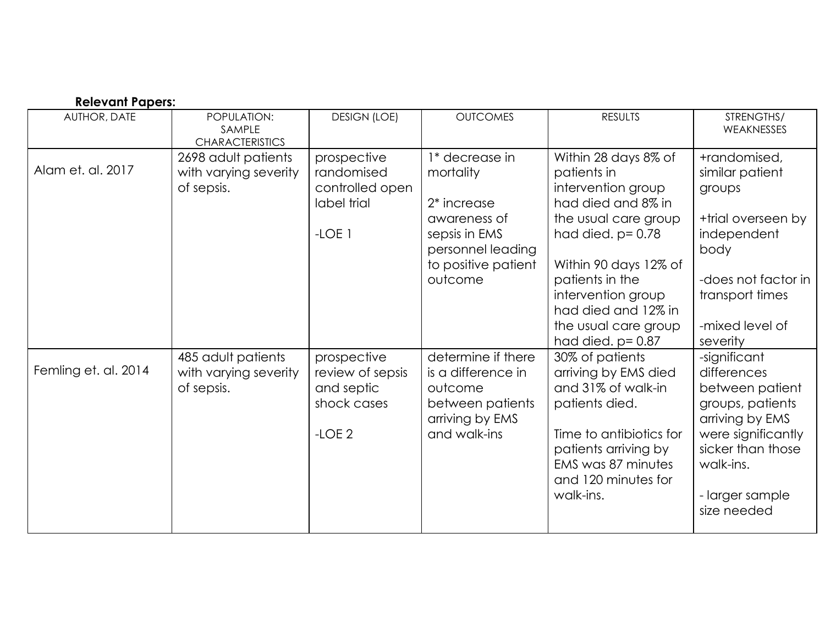| <b>Relevant Papers:</b> |                                                            |                                                                         |                                                                                                                                      |                                                                                                                                                                                                                                                                          |                                                                                                                                                                                 |  |  |  |
|-------------------------|------------------------------------------------------------|-------------------------------------------------------------------------|--------------------------------------------------------------------------------------------------------------------------------------|--------------------------------------------------------------------------------------------------------------------------------------------------------------------------------------------------------------------------------------------------------------------------|---------------------------------------------------------------------------------------------------------------------------------------------------------------------------------|--|--|--|
| AUTHOR, DATE            | POPULATION:<br>SAMPLE<br><b>CHARACTERISTICS</b>            | <b>DESIGN (LOE)</b>                                                     | <b>OUTCOMES</b>                                                                                                                      | <b>RESULTS</b>                                                                                                                                                                                                                                                           | STRENGTHS/<br>WEAKNESSES                                                                                                                                                        |  |  |  |
| Alam et. al. 2017       | 2698 adult patients<br>with varying severity<br>of sepsis. | prospective<br>randomised<br>controlled open<br>label trial<br>$-LOE$ 1 | 1* decrease in<br>mortality<br>$2*$ increase<br>awareness of<br>sepsis in EMS<br>personnel leading<br>to positive patient<br>outcome | Within 28 days 8% of<br>patients in<br>intervention group<br>had died and 8% in<br>the usual care group<br>had died. $p = 0.78$<br>Within 90 days 12% of<br>patients in the<br>intervention group<br>had died and 12% in<br>the usual care group<br>had died. $p = 0.87$ | +randomised,<br>similar patient<br>groups<br>+trial overseen by<br>independent<br>body<br>-does not factor in<br>transport times<br>-mixed level of<br>severity                 |  |  |  |
| Femling et. al. 2014    | 485 adult patients<br>with varying severity<br>of sepsis.  | prospective<br>review of sepsis<br>and septic<br>shock cases<br>$-LOE2$ | determine if there<br>is a difference in<br>outcome<br>between patients<br>arriving by EMS<br>and walk-ins                           | 30% of patients<br>arriving by EMS died<br>and 31% of walk-in<br>patients died.<br>Time to antibiotics for<br>patients arriving by<br>EMS was 87 minutes<br>and 120 minutes for<br>walk-ins.                                                                             | -significant<br>differences<br>between patient<br>groups, patients<br>arriving by EMS<br>were significantly<br>sicker than those<br>walk-ins.<br>- larger sample<br>size needed |  |  |  |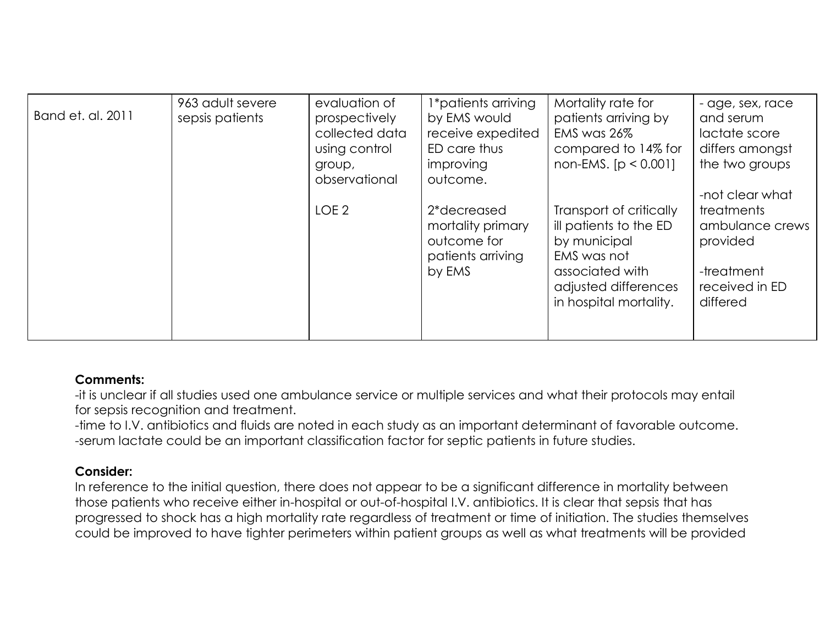| Band et. al. 2011 | 963 adult severe<br>sepsis patients | evaluation of<br>prospectively<br>collected data<br>using control<br>group,<br>observational | 1*patients arriving<br>by EMS would<br>receive expedited<br>ED care thus<br>improving<br>outcome. | Mortality rate for<br>patients arriving by<br>EMS was 26%<br>compared to 14% for<br>non-EMS. $[p < 0.001]$                                            | - age, sex, race<br>and serum<br>lactate score<br>differs amongst<br>the two groups<br>-not clear what |
|-------------------|-------------------------------------|----------------------------------------------------------------------------------------------|---------------------------------------------------------------------------------------------------|-------------------------------------------------------------------------------------------------------------------------------------------------------|--------------------------------------------------------------------------------------------------------|
|                   |                                     | LOE <sub>2</sub>                                                                             | 2*decreased<br>mortality primary<br>outcome for<br>patients arriving<br>by EMS                    | Transport of critically<br>ill patients to the ED<br>by municipal<br>EMS was not<br>associated with<br>adjusted differences<br>in hospital mortality. | <b>treatments</b><br>ambulance crews<br>provided<br>-treatment<br>received in ED<br>differed           |

## **Comments:**

-it is unclear if all studies used one ambulance service or multiple services and what their protocols may entail for sepsis recognition and treatment.

-time to I.V. antibiotics and fluids are noted in each study as an important determinant of favorable outcome. -serum lactate could be an important classification factor for septic patients in future studies.

# **Consider:**

In reference to the initial question, there does not appear to be a significant difference in mortality between those patients who receive either in-hospital or out-of-hospital I.V. antibiotics. It is clear that sepsis that has progressed to shock has a high mortality rate regardless of treatment or time of initiation. The studies themselves could be improved to have tighter perimeters within patient groups as well as what treatments will be provided